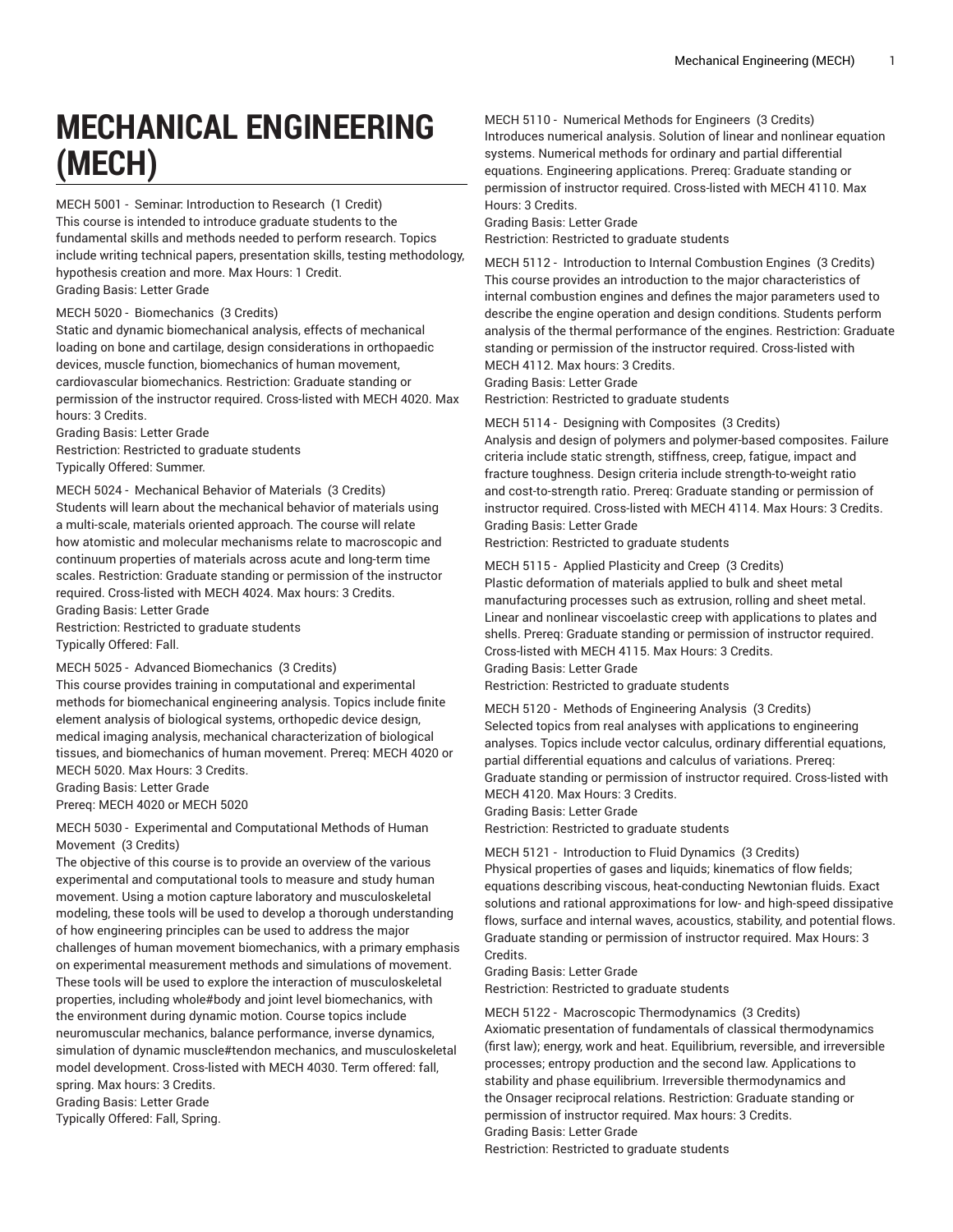# **MECHANICAL ENGINEERING (MECH)**

MECH 5001 - Seminar: Introduction to Research (1 Credit) This course is intended to introduce graduate students to the fundamental skills and methods needed to perform research. Topics include writing technical papers, presentation skills, testing methodology, hypothesis creation and more. Max Hours: 1 Credit. Grading Basis: Letter Grade

#### MECH 5020 - Biomechanics (3 Credits)

Static and dynamic biomechanical analysis, effects of mechanical loading on bone and cartilage, design considerations in orthopaedic devices, muscle function, biomechanics of human movement, cardiovascular biomechanics. Restriction: Graduate standing or permission of the instructor required. Cross-listed with MECH 4020. Max hours: 3 Credits.

Grading Basis: Letter Grade

Restriction: Restricted to graduate students Typically Offered: Summer.

MECH 5024 - Mechanical Behavior of Materials (3 Credits) Students will learn about the mechanical behavior of materials using a multi-scale, materials oriented approach. The course will relate how atomistic and molecular mechanisms relate to macroscopic and continuum properties of materials across acute and long-term time scales. Restriction: Graduate standing or permission of the instructor required. Cross-listed with MECH 4024. Max hours: 3 Credits. Grading Basis: Letter Grade

Restriction: Restricted to graduate students Typically Offered: Fall.

#### MECH 5025 - Advanced Biomechanics (3 Credits)

This course provides training in computational and experimental methods for biomechanical engineering analysis. Topics include finite element analysis of biological systems, orthopedic device design, medical imaging analysis, mechanical characterization of biological tissues, and biomechanics of human movement. Prereq: MECH 4020 or MECH 5020. Max Hours: 3 Credits.

Grading Basis: Letter Grade

Prereq: MECH 4020 or MECH 5020

MECH 5030 - Experimental and Computational Methods of Human Movement (3 Credits)

The objective of this course is to provide an overview of the various experimental and computational tools to measure and study human movement. Using a motion capture laboratory and musculoskeletal modeling, these tools will be used to develop a thorough understanding of how engineering principles can be used to address the major challenges of human movement biomechanics, with a primary emphasis on experimental measurement methods and simulations of movement. These tools will be used to explore the interaction of musculoskeletal properties, including whole#body and joint level biomechanics, with the environment during dynamic motion. Course topics include neuromuscular mechanics, balance performance, inverse dynamics, simulation of dynamic muscle#tendon mechanics, and musculoskeletal model development. Cross-listed with MECH 4030. Term offered: fall, spring. Max hours: 3 Credits. Grading Basis: Letter Grade Typically Offered: Fall, Spring.

MECH 5110 - Numerical Methods for Engineers (3 Credits) Introduces numerical analysis. Solution of linear and nonlinear equation systems. Numerical methods for ordinary and partial differential equations. Engineering applications. Prereq: Graduate standing or permission of instructor required. Cross-listed with MECH 4110. Max

Hours: 3 Credits. Grading Basis: Letter Grade

Restriction: Restricted to graduate students

MECH 5112 - Introduction to Internal Combustion Engines (3 Credits) This course provides an introduction to the major characteristics of internal combustion engines and defines the major parameters used to describe the engine operation and design conditions. Students perform analysis of the thermal performance of the engines. Restriction: Graduate standing or permission of the instructor required. Cross-listed with MECH 4112. Max hours: 3 Credits.

Grading Basis: Letter Grade

Restriction: Restricted to graduate students

MECH 5114 - Designing with Composites (3 Credits)

Analysis and design of polymers and polymer-based composites. Failure criteria include static strength, stiffness, creep, fatigue, impact and fracture toughness. Design criteria include strength-to-weight ratio and cost-to-strength ratio. Prereq: Graduate standing or permission of instructor required. Cross-listed with MECH 4114. Max Hours: 3 Credits. Grading Basis: Letter Grade

Restriction: Restricted to graduate students

MECH 5115 - Applied Plasticity and Creep (3 Credits) Plastic deformation of materials applied to bulk and sheet metal manufacturing processes such as extrusion, rolling and sheet metal. Linear and nonlinear viscoelastic creep with applications to plates and shells. Prereq: Graduate standing or permission of instructor required. Cross-listed with MECH 4115. Max Hours: 3 Credits. Grading Basis: Letter Grade

Restriction: Restricted to graduate students

MECH 5120 - Methods of Engineering Analysis (3 Credits) Selected topics from real analyses with applications to engineering analyses. Topics include vector calculus, ordinary differential equations, partial differential equations and calculus of variations. Prereq: Graduate standing or permission of instructor required. Cross-listed with MECH 4120. Max Hours: 3 Credits.

Grading Basis: Letter Grade

Restriction: Restricted to graduate students

MECH 5121 - Introduction to Fluid Dynamics (3 Credits)

Physical properties of gases and liquids; kinematics of flow fields; equations describing viscous, heat-conducting Newtonian fluids. Exact solutions and rational approximations for low- and high-speed dissipative flows, surface and internal waves, acoustics, stability, and potential flows. Graduate standing or permission of instructor required. Max Hours: 3 Credits.

Grading Basis: Letter Grade

Restriction: Restricted to graduate students

MECH 5122 - Macroscopic Thermodynamics (3 Credits) Axiomatic presentation of fundamentals of classical thermodynamics (first law); energy, work and heat. Equilibrium, reversible, and irreversible processes; entropy production and the second law. Applications to stability and phase equilibrium. Irreversible thermodynamics and the Onsager reciprocal relations. Restriction: Graduate standing or permission of instructor required. Max hours: 3 Credits.

Grading Basis: Letter Grade

Restriction: Restricted to graduate students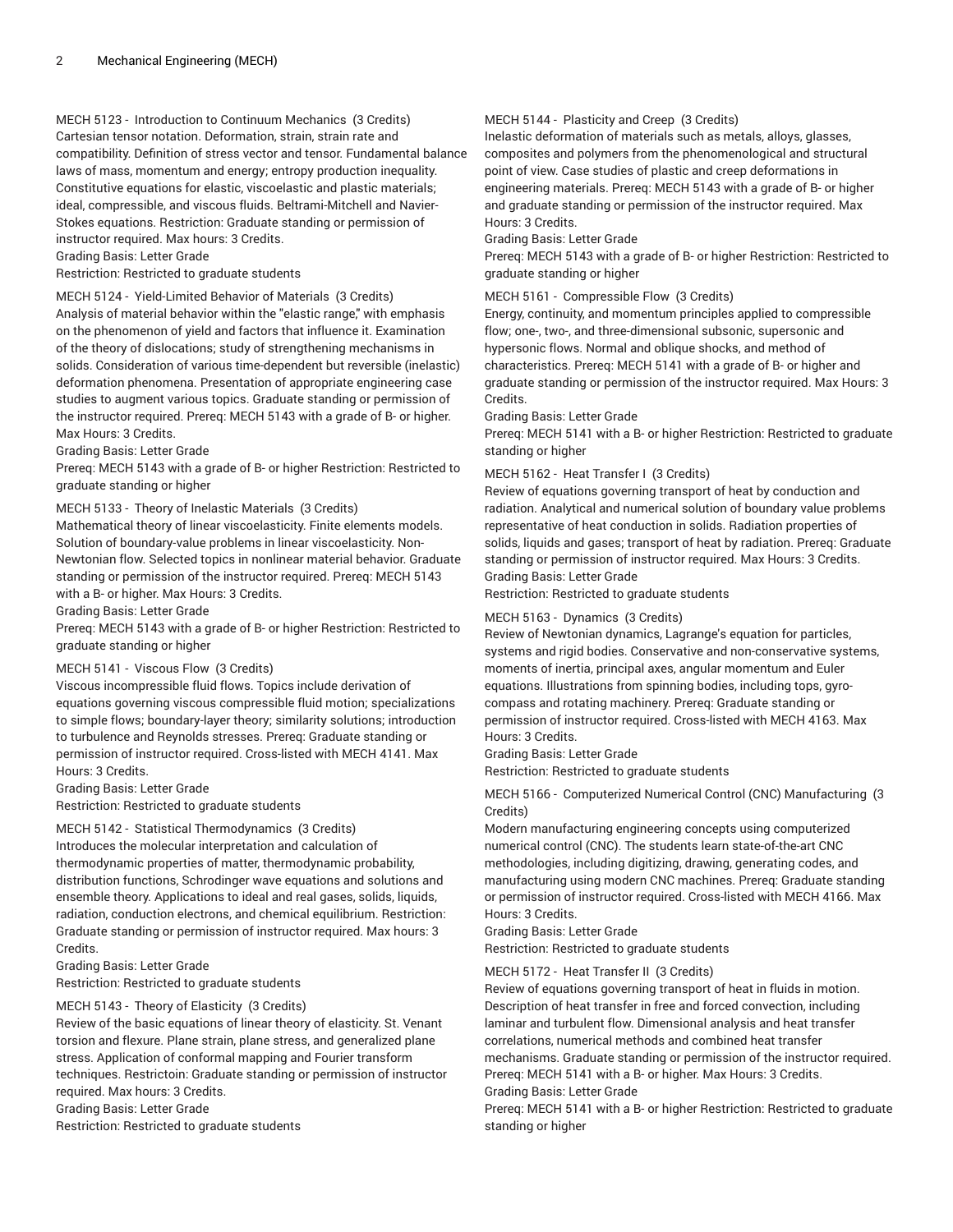## MECH 5123 - Introduction to Continuum Mechanics (3 Credits)

Cartesian tensor notation. Deformation, strain, strain rate and compatibility. Definition of stress vector and tensor. Fundamental balance laws of mass, momentum and energy; entropy production inequality. Constitutive equations for elastic, viscoelastic and plastic materials; ideal, compressible, and viscous fluids. Beltrami-Mitchell and Navier-Stokes equations. Restriction: Graduate standing or permission of instructor required. Max hours: 3 Credits.

Grading Basis: Letter Grade

Restriction: Restricted to graduate students

MECH 5124 - Yield-Limited Behavior of Materials (3 Credits) Analysis of material behavior within the "elastic range," with emphasis on the phenomenon of yield and factors that influence it. Examination of the theory of dislocations; study of strengthening mechanisms in solids. Consideration of various time-dependent but reversible (inelastic) deformation phenomena. Presentation of appropriate engineering case studies to augment various topics. Graduate standing or permission of the instructor required. Prereq: MECH 5143 with a grade of B- or higher. Max Hours: 3 Credits.

Grading Basis: Letter Grade

Prereq: MECH 5143 with a grade of B- or higher Restriction: Restricted to graduate standing or higher

#### MECH 5133 - Theory of Inelastic Materials (3 Credits)

Mathematical theory of linear viscoelasticity. Finite elements models. Solution of boundary-value problems in linear viscoelasticity. Non-Newtonian flow. Selected topics in nonlinear material behavior. Graduate standing or permission of the instructor required. Prereq: MECH 5143 with a B- or higher. Max Hours: 3 Credits.

Grading Basis: Letter Grade

Prereq: MECH 5143 with a grade of B- or higher Restriction: Restricted to graduate standing or higher

#### MECH 5141 - Viscous Flow (3 Credits)

Viscous incompressible fluid flows. Topics include derivation of equations governing viscous compressible fluid motion; specializations to simple flows; boundary-layer theory; similarity solutions; introduction to turbulence and Reynolds stresses. Prereq: Graduate standing or permission of instructor required. Cross-listed with MECH 4141. Max Hours: 3 Credits.

Grading Basis: Letter Grade

Restriction: Restricted to graduate students

#### MECH 5142 - Statistical Thermodynamics (3 Credits)

Introduces the molecular interpretation and calculation of thermodynamic properties of matter, thermodynamic probability, distribution functions, Schrodinger wave equations and solutions and ensemble theory. Applications to ideal and real gases, solids, liquids, radiation, conduction electrons, and chemical equilibrium. Restriction: Graduate standing or permission of instructor required. Max hours: 3 Credits.

Grading Basis: Letter Grade

Restriction: Restricted to graduate students

## MECH 5143 - Theory of Elasticity (3 Credits)

Review of the basic equations of linear theory of elasticity. St. Venant torsion and flexure. Plane strain, plane stress, and generalized plane stress. Application of conformal mapping and Fourier transform techniques. Restrictoin: Graduate standing or permission of instructor required. Max hours: 3 Credits.

Grading Basis: Letter Grade

Restriction: Restricted to graduate students

## MECH 5144 - Plasticity and Creep (3 Credits)

Inelastic deformation of materials such as metals, alloys, glasses, composites and polymers from the phenomenological and structural point of view. Case studies of plastic and creep deformations in engineering materials. Prereq: MECH 5143 with a grade of B- or higher and graduate standing or permission of the instructor required. Max Hours: 3 Credits.

Grading Basis: Letter Grade

Prereq: MECH 5143 with a grade of B- or higher Restriction: Restricted to graduate standing or higher

### MECH 5161 - Compressible Flow (3 Credits)

Energy, continuity, and momentum principles applied to compressible flow; one-, two-, and three-dimensional subsonic, supersonic and hypersonic flows. Normal and oblique shocks, and method of characteristics. Prereq: MECH 5141 with a grade of B- or higher and graduate standing or permission of the instructor required. Max Hours: 3 Credits.

Grading Basis: Letter Grade

Prereq: MECH 5141 with a B- or higher Restriction: Restricted to graduate standing or higher

## MECH 5162 - Heat Transfer I (3 Credits)

Review of equations governing transport of heat by conduction and radiation. Analytical and numerical solution of boundary value problems representative of heat conduction in solids. Radiation properties of solids, liquids and gases; transport of heat by radiation. Prereq: Graduate standing or permission of instructor required. Max Hours: 3 Credits. Grading Basis: Letter Grade

Restriction: Restricted to graduate students

#### MECH 5163 - Dynamics (3 Credits)

Review of Newtonian dynamics, Lagrange's equation for particles, systems and rigid bodies. Conservative and non-conservative systems, moments of inertia, principal axes, angular momentum and Euler equations. Illustrations from spinning bodies, including tops, gyrocompass and rotating machinery. Prereq: Graduate standing or permission of instructor required. Cross-listed with MECH 4163. Max Hours: 3 Credits.

Grading Basis: Letter Grade

Restriction: Restricted to graduate students

MECH 5166 - Computerized Numerical Control (CNC) Manufacturing (3 Credits)

Modern manufacturing engineering concepts using computerized numerical control (CNC). The students learn state-of-the-art CNC methodologies, including digitizing, drawing, generating codes, and manufacturing using modern CNC machines. Prereq: Graduate standing or permission of instructor required. Cross-listed with MECH 4166. Max Hours: 3 Credits.

Grading Basis: Letter Grade

Restriction: Restricted to graduate students

#### MECH 5172 - Heat Transfer II (3 Credits)

Review of equations governing transport of heat in fluids in motion. Description of heat transfer in free and forced convection, including laminar and turbulent flow. Dimensional analysis and heat transfer correlations, numerical methods and combined heat transfer mechanisms. Graduate standing or permission of the instructor required. Prereq: MECH 5141 with a B- or higher. Max Hours: 3 Credits.

Grading Basis: Letter Grade

Prereq: MECH 5141 with a B- or higher Restriction: Restricted to graduate standing or higher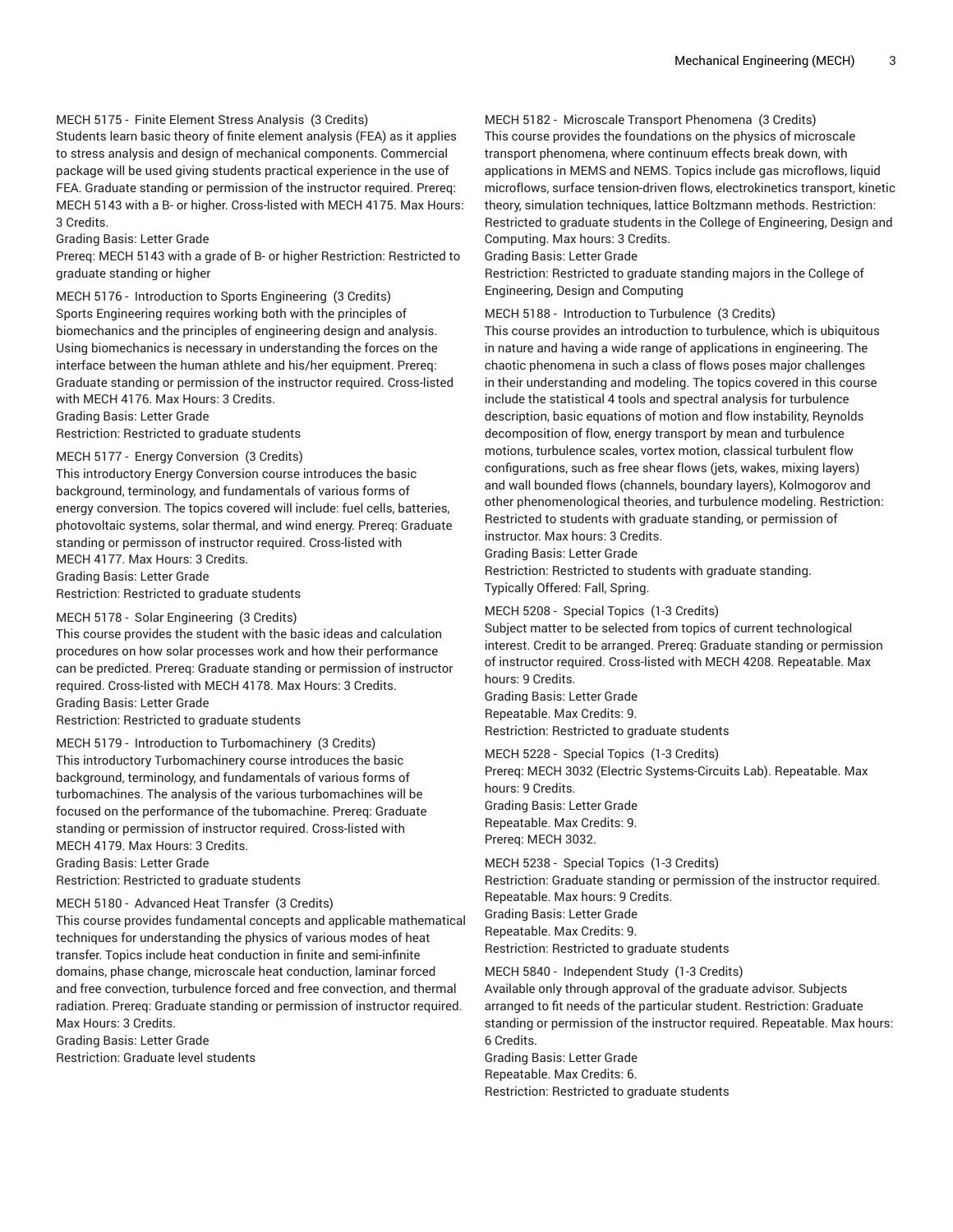## MECH 5175 - Finite Element Stress Analysis (3 Credits)

Students learn basic theory of finite element analysis (FEA) as it applies to stress analysis and design of mechanical components. Commercial package will be used giving students practical experience in the use of FEA. Graduate standing or permission of the instructor required. Prereq: MECH 5143 with a B- or higher. Cross-listed with MECH 4175. Max Hours: 3 Credits.

Grading Basis: Letter Grade

Prereq: MECH 5143 with a grade of B- or higher Restriction: Restricted to graduate standing or higher

MECH 5176 - Introduction to Sports Engineering (3 Credits) Sports Engineering requires working both with the principles of biomechanics and the principles of engineering design and analysis. Using biomechanics is necessary in understanding the forces on the interface between the human athlete and his/her equipment. Prereq: Graduate standing or permission of the instructor required. Cross-listed with MECH 4176. Max Hours: 3 Credits.

Grading Basis: Letter Grade

Restriction: Restricted to graduate students

#### MECH 5177 - Energy Conversion (3 Credits)

This introductory Energy Conversion course introduces the basic background, terminology, and fundamentals of various forms of energy conversion. The topics covered will include: fuel cells, batteries, photovoltaic systems, solar thermal, and wind energy. Prereq: Graduate standing or permisson of instructor required. Cross-listed with MECH 4177. Max Hours: 3 Credits. Grading Basis: Letter Grade

Restriction: Restricted to graduate students

#### MECH 5178 - Solar Engineering (3 Credits)

This course provides the student with the basic ideas and calculation procedures on how solar processes work and how their performance can be predicted. Prereq: Graduate standing or permission of instructor required. Cross-listed with MECH 4178. Max Hours: 3 Credits. Grading Basis: Letter Grade

Restriction: Restricted to graduate students

MECH 5179 - Introduction to Turbomachinery (3 Credits) This introductory Turbomachinery course introduces the basic background, terminology, and fundamentals of various forms of turbomachines. The analysis of the various turbomachines will be focused on the performance of the tubomachine. Prereq: Graduate standing or permission of instructor required. Cross-listed with MECH 4179. Max Hours: 3 Credits.

Grading Basis: Letter Grade

Restriction: Restricted to graduate students

#### MECH 5180 - Advanced Heat Transfer (3 Credits)

This course provides fundamental concepts and applicable mathematical techniques for understanding the physics of various modes of heat transfer. Topics include heat conduction in finite and semi-infinite domains, phase change, microscale heat conduction, laminar forced and free convection, turbulence forced and free convection, and thermal radiation. Prereq: Graduate standing or permission of instructor required. Max Hours: 3 Credits.

Grading Basis: Letter Grade

Restriction: Graduate level students

#### MECH 5182 - Microscale Transport Phenomena (3 Credits)

This course provides the foundations on the physics of microscale transport phenomena, where continuum effects break down, with applications in MEMS and NEMS. Topics include gas microflows, liquid microflows, surface tension-driven flows, electrokinetics transport, kinetic theory, simulation techniques, lattice Boltzmann methods. Restriction: Restricted to graduate students in the College of Engineering, Design and Computing. Max hours: 3 Credits.

#### Grading Basis: Letter Grade

Restriction: Restricted to graduate standing majors in the College of Engineering, Design and Computing

MECH 5188 - Introduction to Turbulence (3 Credits)

This course provides an introduction to turbulence, which is ubiquitous in nature and having a wide range of applications in engineering. The chaotic phenomena in such a class of flows poses major challenges in their understanding and modeling. The topics covered in this course include the statistical 4 tools and spectral analysis for turbulence description, basic equations of motion and flow instability, Reynolds decomposition of flow, energy transport by mean and turbulence motions, turbulence scales, vortex motion, classical turbulent flow configurations, such as free shear flows (jets, wakes, mixing layers) and wall bounded flows (channels, boundary layers), Kolmogorov and other phenomenological theories, and turbulence modeling. Restriction: Restricted to students with graduate standing, or permission of instructor. Max hours: 3 Credits.

Grading Basis: Letter Grade

Restriction: Restricted to students with graduate standing. Typically Offered: Fall, Spring.

#### MECH 5208 - Special Topics (1-3 Credits)

Subject matter to be selected from topics of current technological interest. Credit to be arranged. Prereq: Graduate standing or permission of instructor required. Cross-listed with MECH 4208. Repeatable. Max hours: 9 Credits.

Grading Basis: Letter Grade Repeatable. Max Credits: 9. Restriction: Restricted to graduate students

MECH 5228 - Special Topics (1-3 Credits) Prereq: MECH 3032 (Electric Systems-Circuits Lab). Repeatable. Max hours: 9 Credits. Grading Basis: Letter Grade Repeatable. Max Credits: 9. Prereq: MECH 3032.

MECH 5238 - Special Topics (1-3 Credits) Restriction: Graduate standing or permission of the instructor required. Repeatable. Max hours: 9 Credits. Grading Basis: Letter Grade Repeatable. Max Credits: 9. Restriction: Restricted to graduate students

#### MECH 5840 - Independent Study (1-3 Credits)

Available only through approval of the graduate advisor. Subjects arranged to fit needs of the particular student. Restriction: Graduate standing or permission of the instructor required. Repeatable. Max hours: 6 Credits.

Grading Basis: Letter Grade

Repeatable. Max Credits: 6.

Restriction: Restricted to graduate students